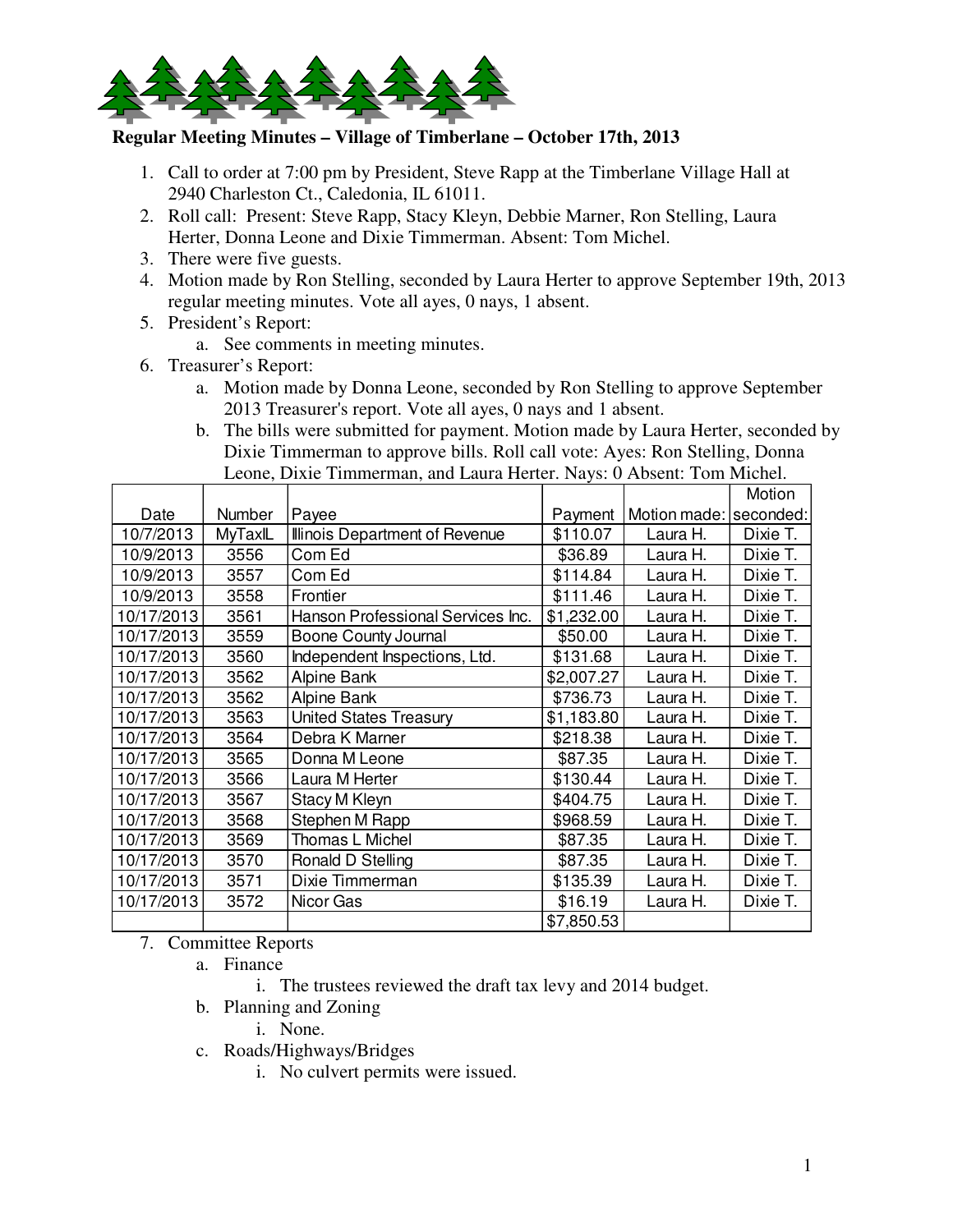

## **Regular Meeting Minutes – Village of Timberlane – October 17th, 2013**

- 1. Call to order at 7:00 pm by President, Steve Rapp at the Timberlane Village Hall at 2940 Charleston Ct., Caledonia, IL 61011.
- 2. Roll call: Present: Steve Rapp, Stacy Kleyn, Debbie Marner, Ron Stelling, Laura Herter, Donna Leone and Dixie Timmerman. Absent: Tom Michel.
- 3. There were five guests.
- 4. Motion made by Ron Stelling, seconded by Laura Herter to approve September 19th, 2013 regular meeting minutes. Vote all ayes, 0 nays, 1 absent.
- 5. President's Report:
	- a. See comments in meeting minutes.
- 6. Treasurer's Report:
	- a. Motion made by Donna Leone, seconded by Ron Stelling to approve September 2013 Treasurer's report. Vote all ayes, 0 nays and 1 absent.
	- b. The bills were submitted for payment. Motion made by Laura Herter, seconded by Dixie Timmerman to approve bills. Roll call vote: Ayes: Ron Stelling, Donna Leone, Dixie Timmerman, and Laura Herter. Nays: 0 Absent: Tom Michel.

|            |         |                                   |            |                        | Motion   |
|------------|---------|-----------------------------------|------------|------------------------|----------|
| Date       | Number  | Payee                             | Payment    | Motion made: seconded: |          |
| 10/7/2013  | MyTaxIL | Illinois Department of Revenue    | \$110.07   | Laura H.               | Dixie T. |
| 10/9/2013  | 3556    | Com Ed                            | \$36.89    | Laura H.               | Dixie T. |
| 10/9/2013  | 3557    | Com Ed                            | \$114.84   | Laura H.               | Dixie T. |
| 10/9/2013  | 3558    | Frontier                          | \$111.46   | Laura H.               | Dixie T. |
| 10/17/2013 | 3561    | Hanson Professional Services Inc. | \$1,232.00 | Laura H.               | Dixie T. |
| 10/17/2013 | 3559    | Boone County Journal              | \$50.00    | Laura H.               | Dixie T. |
| 10/17/2013 | 3560    | Independent Inspections, Ltd.     | \$131.68   | Laura H.               | Dixie T. |
| 10/17/2013 | 3562    | Alpine Bank                       | \$2,007.27 | Laura H.               | Dixie T. |
| 10/17/2013 | 3562    | Alpine Bank                       | \$736.73   | Laura H.               | Dixie T. |
| 10/17/2013 | 3563    | <b>United States Treasury</b>     | \$1,183.80 | Laura H.               | Dixie T. |
| 10/17/2013 | 3564    | Debra K Marner                    | \$218.38   | Laura H.               | Dixie T. |
| 10/17/2013 | 3565    | Donna M Leone                     | \$87.35    | Laura H.               | Dixie T. |
| 10/17/2013 | 3566    | Laura M Herter                    | \$130.44   | Laura H.               | Dixie T. |
| 10/17/2013 | 3567    | Stacy M Kleyn                     | \$404.75   | Laura H.               | Dixie T. |
| 10/17/2013 | 3568    | Stephen M Rapp                    | \$968.59   | Laura H.               | Dixie T. |
| 10/17/2013 | 3569    | Thomas L Michel                   | \$87.35    | Laura H.               | Dixie T. |
| 10/17/2013 | 3570    | Ronald D Stelling                 | \$87.35    | Laura H.               | Dixie T. |
| 10/17/2013 | 3571    | Dixie Timmerman                   | \$135.39   | Laura H.               | Dixie T. |
| 10/17/2013 | 3572    | Nicor Gas                         | \$16.19    | Laura H.               | Dixie T. |
|            |         |                                   | \$7,850.53 |                        |          |

7. Committee Reports

- a. Finance
	- i. The trustees reviewed the draft tax levy and 2014 budget.
- b. Planning and Zoning
	- i. None.
- c. Roads/Highways/Bridges
	- i. No culvert permits were issued.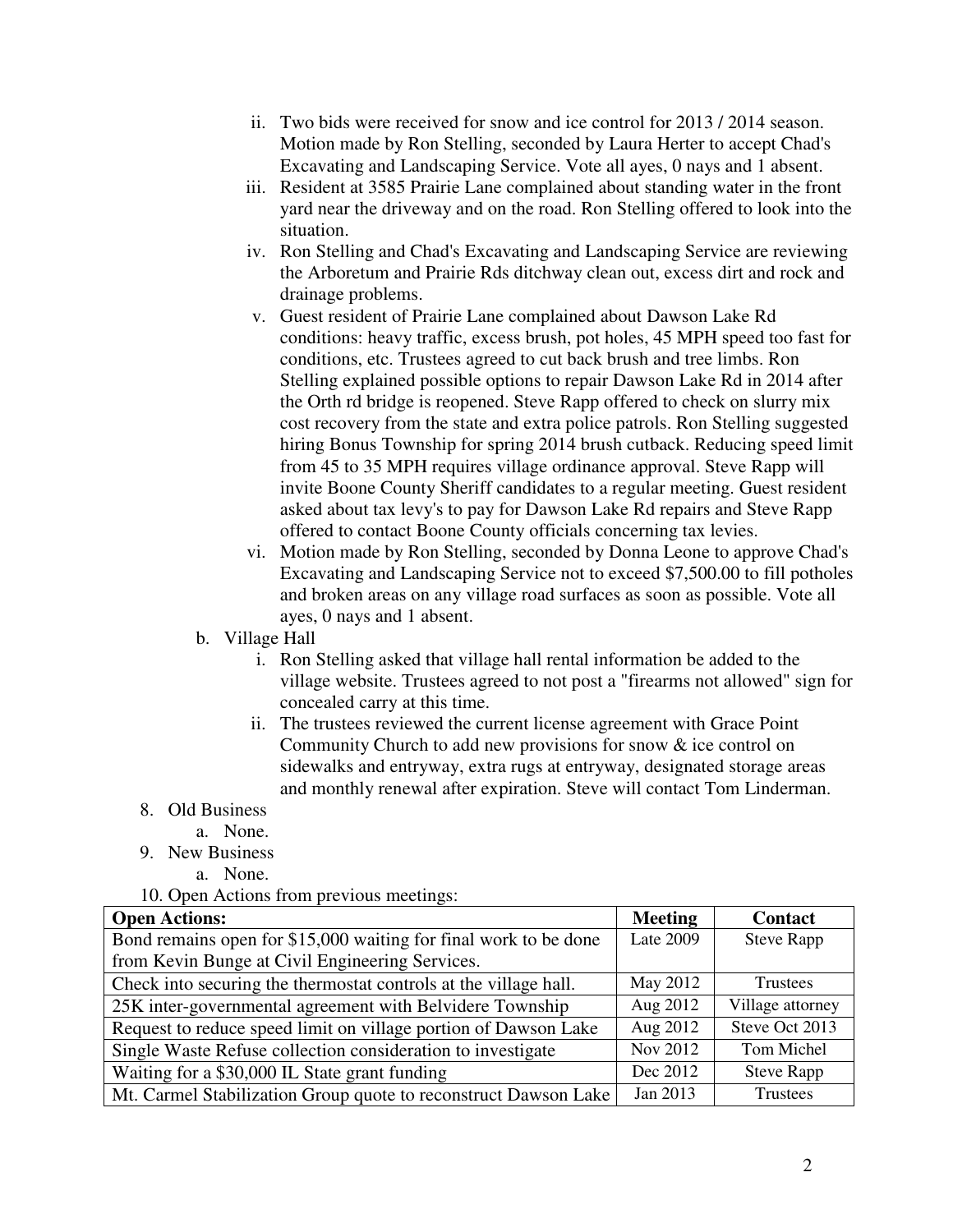- ii. Two bids were received for snow and ice control for 2013 / 2014 season. Motion made by Ron Stelling, seconded by Laura Herter to accept Chad's Excavating and Landscaping Service. Vote all ayes, 0 nays and 1 absent.
- iii. Resident at 3585 Prairie Lane complained about standing water in the front yard near the driveway and on the road. Ron Stelling offered to look into the situation.
- iv. Ron Stelling and Chad's Excavating and Landscaping Service are reviewing the Arboretum and Prairie Rds ditchway clean out, excess dirt and rock and drainage problems.
- v. Guest resident of Prairie Lane complained about Dawson Lake Rd conditions: heavy traffic, excess brush, pot holes, 45 MPH speed too fast for conditions, etc. Trustees agreed to cut back brush and tree limbs. Ron Stelling explained possible options to repair Dawson Lake Rd in 2014 after the Orth rd bridge is reopened. Steve Rapp offered to check on slurry mix cost recovery from the state and extra police patrols. Ron Stelling suggested hiring Bonus Township for spring 2014 brush cutback. Reducing speed limit from 45 to 35 MPH requires village ordinance approval. Steve Rapp will invite Boone County Sheriff candidates to a regular meeting. Guest resident asked about tax levy's to pay for Dawson Lake Rd repairs and Steve Rapp offered to contact Boone County officials concerning tax levies.
- vi. Motion made by Ron Stelling, seconded by Donna Leone to approve Chad's Excavating and Landscaping Service not to exceed \$7,500.00 to fill potholes and broken areas on any village road surfaces as soon as possible. Vote all ayes, 0 nays and 1 absent.
- b. Village Hall
	- i. Ron Stelling asked that village hall rental information be added to the village website. Trustees agreed to not post a "firearms not allowed" sign for concealed carry at this time.
	- ii. The trustees reviewed the current license agreement with Grace Point Community Church to add new provisions for snow & ice control on sidewalks and entryway, extra rugs at entryway, designated storage areas and monthly renewal after expiration. Steve will contact Tom Linderman.

## 8. Old Business

- a. None.
- 9. New Business
	- a. None.

10. Open Actions from previous meetings:

| <b>Open Actions:</b>                                             | <b>Meeting</b> | <b>Contact</b>    |
|------------------------------------------------------------------|----------------|-------------------|
| Bond remains open for \$15,000 waiting for final work to be done | Late 2009      | <b>Steve Rapp</b> |
| from Kevin Bunge at Civil Engineering Services.                  |                |                   |
| Check into securing the thermostat controls at the village hall. | May 2012       | Trustees          |
| 25K inter-governmental agreement with Belvidere Township         | Aug 2012       | Village attorney  |
| Request to reduce speed limit on village portion of Dawson Lake  | Aug 2012       | Steve Oct 2013    |
| Single Waste Refuse collection consideration to investigate      | Nov 2012       | Tom Michel        |
| Waiting for a \$30,000 IL State grant funding                    | Dec 2012       | <b>Steve Rapp</b> |
| Mt. Carmel Stabilization Group quote to reconstruct Dawson Lake  | Jan 2013       | Trustees          |